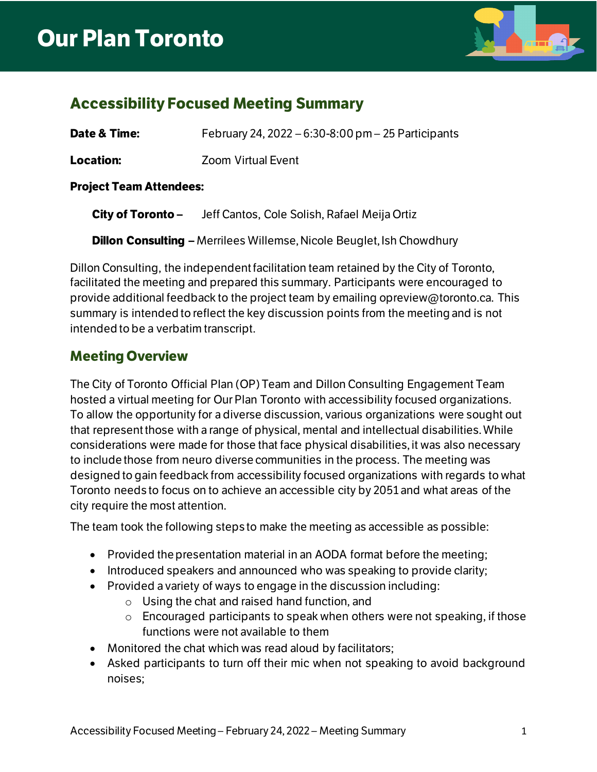

### **Accessibility Focused Meeting Summary**

| Date & Time:                   | February 24, 2022 – 6:30-8:00 pm – 25 Participants |
|--------------------------------|----------------------------------------------------|
| Location:                      | <b>Zoom Virtual Event</b>                          |
| <b>Project Team Attendees:</b> |                                                    |

**City of Toronto –** Jeff Cantos, Cole Solish, Rafael Meija Ortiz

**Dillon Consulting –** Merrilees Willemse, Nicole Beuglet, Ish Chowdhury

Dillon Consulting, the independent facilitation team retained by the City of Toronto, facilitated the meeting and prepared this summary. Participants were encouraged to provide additional feedback to the project team by emailing opreview@toronto.ca. This summary is intended to reflect the key discussion points from the meeting and is not intended to be a verbatim transcript.

### **Meeting Overview**

The City of Toronto Official Plan (OP) Team and Dillon Consulting Engagement Team hosted a virtual meeting for Our Plan Toronto with accessibility focused organizations. To allow the opportunity for a diverse discussion, various organizations were sought out that represent those with a range of physical, mental and intellectual disabilities. While considerations were made for those that face physical disabilities, it was also necessary to include those from neuro diverse communities in the process. The meeting was designed to gain feedback from accessibility focused organizations with regards to what Toronto needs to focus on to achieve an accessible city by 2051 and what areas of the city require the most attention.

The team took the following steps to make the meeting as accessible as possible:

- Provided the presentation material in an AODA format before the meeting;
- Introduced speakers and announced who was speaking to provide clarity;
- Provided a variety of ways to engage in the discussion including:
	- o Using the chat and raised hand function, and
	- $\circ$  Encouraged participants to speak when others were not speaking, if those functions were not available to them
- Monitored the chat which was read aloud by facilitators;
- Asked participants to turn off their mic when not speaking to avoid background noises;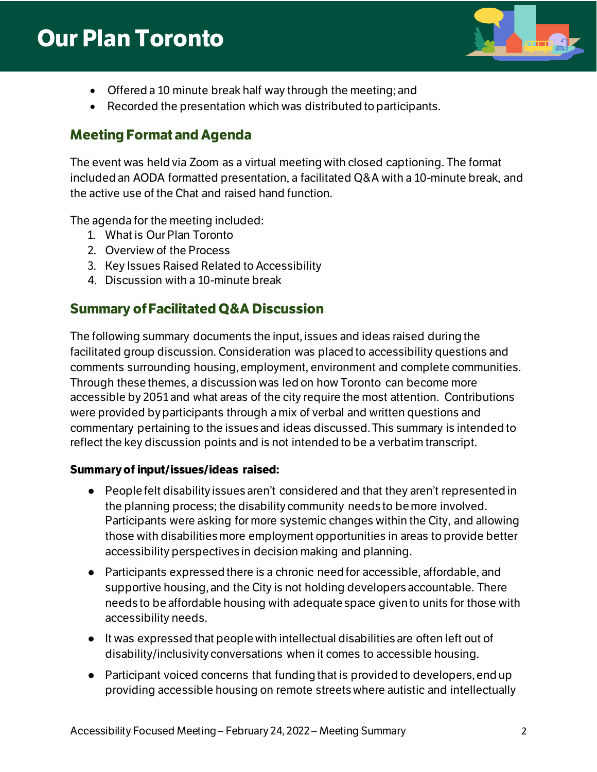## **Our Plan Toronto**



- Offered a 10 minute break half way through the meeting; and
- Recorded the presentation which was distributed to participants.

#### **Meeting Format and Agenda**

The event was held via Zoom as a virtual meeting with closed captioning. The format included an AODA formatted presentation, a facilitated Q&A with a 10-minute break, and the active use of the Chat and raised hand function.

The agenda for the meeting included:

- 1. What is Our Plan Toronto
- 2. Overview of the Process
- 3. Key Issues Raised Related to Accessibility
- 4. Discussion with a 10-minute break

#### **Summary of Facilitated Q&A Discussion**

The following summary documents the input, issues and ideas raised during the facilitated group discussion. Consideration was placed to accessibility questions and comments surrounding housing, employment, environment and complete communities. Through these themes, a discussion was led on how Toronto can become more accessible by 2051 and what areas of the city require the most attention. Contributions were provided by participants through a mix of verbal and written questions and commentary pertaining to the issues and ideas discussed. This summary is intended to reflect the key discussion points and is not intended to be a verbatim transcript.

#### **Summary of input/issues/ideas raised:**

- People felt disability issues aren't considered and that they aren't represented in the planning process; the disabilitycommunity needs to be more involved. Participants were asking for more systemic changes within the City, and allowing those with disabilities more employment opportunities in areas to provide better accessibility perspectives in decision making and planning.
- Participants expressed there is a chronic need for accessible, affordable, and supportive housing, and the City is not holding developers accountable. There needs to be affordable housing with adequate space given to units for those with accessibility needs.
- It was expressed that people with intellectual disabilities are often left out of disability/inclusivity conversations when it comes to accessible housing.
- Participant voiced concerns that funding that is provided to developers, end up providing accessible housing on remote streets where autistic and intellectually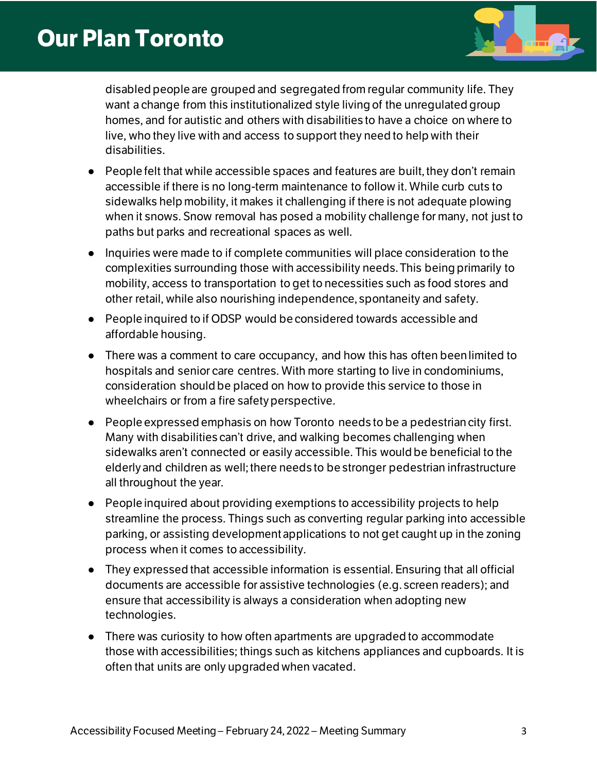# **Our Plan Toronto**



disabled people are grouped and segregated from regular community life. They want a change from this institutionalized style living of the unregulated group homes, and for autistic and others with disabilities to have a choice on where to live, who they live with and access to support they need to help with their disabilities.

- People felt that while accessible spaces and features are built, they don't remain accessible if there is no long-term maintenance to follow it. While curb cuts to sidewalks help mobility, it makes it challenging if there is not adequate plowing when it snows. Snow removal has posed a mobility challenge for many, not just to paths but parks and recreational spaces as well.
- Inquiries were made to if complete communities will place consideration to the complexities surrounding those with accessibility needs. This being primarily to mobility, access to transportation to get to necessities such as food stores and other retail, while also nourishing independence, spontaneity and safety.
- People inquired to if ODSP would be considered towards accessible and affordable housing.
- There was a comment to care occupancy, and how this has often been limited to hospitals and senior care centres. With more starting to live in condominiums, consideration should be placed on how to provide this service to those in wheelchairs or from a fire safety perspective.
- People expressed emphasis on how Toronto needs to be a pedestrian city first. Many with disabilities can't drive, and walking becomes challenging when sidewalks aren't connected or easily accessible. This would be beneficial to the elderly and children as well; there needs to be stronger pedestrian infrastructure all throughout the year.
- People inquired about providing exemptions to accessibility projects to help streamline the process. Things such as converting regular parking into accessible parking, or assisting development applications to not get caught up in the zoning process when it comes to accessibility.
- They expressed that accessible information is essential. Ensuring that all official documents are accessible for assistive technologies (e.g. screen readers); and ensure that accessibility is always a consideration when adopting new technologies.
- There was curiosity to how often apartments are upgraded to accommodate those with accessibilities; things such as kitchens appliances and cupboards. It is often that units are only upgraded when vacated.